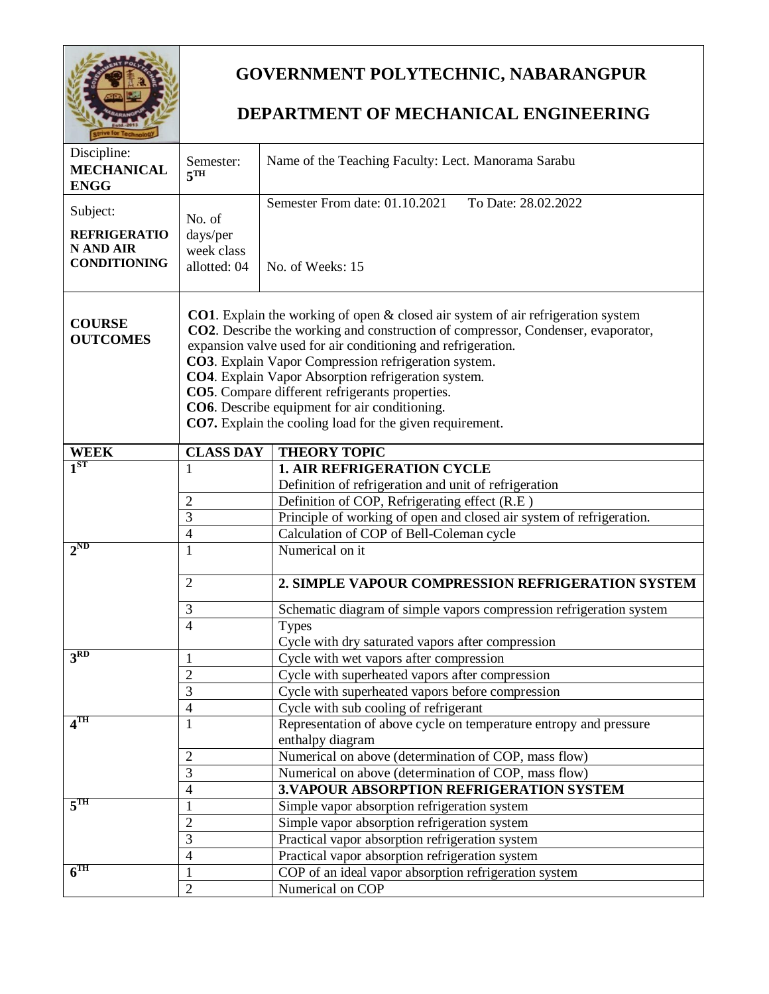

## **GOVERNMENT POLYTECHNIC, NABARANGPUR**

## **DEPARTMENT OF MECHANICAL ENGINEERING**

| Discipline:<br><b>MECHANICAL</b><br><b>ENGG</b> | Semester:<br>5 <sup>TH</sup>                                                                                                                                                                                                                                                                                                                                                                                                                                                                                                   | Name of the Teaching Faculty: Lect. Manorama Sarabu                                   |
|-------------------------------------------------|--------------------------------------------------------------------------------------------------------------------------------------------------------------------------------------------------------------------------------------------------------------------------------------------------------------------------------------------------------------------------------------------------------------------------------------------------------------------------------------------------------------------------------|---------------------------------------------------------------------------------------|
| Subject:                                        |                                                                                                                                                                                                                                                                                                                                                                                                                                                                                                                                | Semester From date: 01.10.2021<br>To Date: 28.02.2022                                 |
|                                                 | No. of                                                                                                                                                                                                                                                                                                                                                                                                                                                                                                                         |                                                                                       |
| <b>REFRIGERATIO</b>                             | days/per                                                                                                                                                                                                                                                                                                                                                                                                                                                                                                                       |                                                                                       |
| N AND AIR<br><b>CONDITIONING</b>                | week class                                                                                                                                                                                                                                                                                                                                                                                                                                                                                                                     |                                                                                       |
|                                                 | allotted: 04                                                                                                                                                                                                                                                                                                                                                                                                                                                                                                                   | No. of Weeks: 15                                                                      |
| <b>COURSE</b><br><b>OUTCOMES</b>                | <b>CO1</b> . Explain the working of open $\&$ closed air system of air refrigeration system<br>CO2. Describe the working and construction of compressor, Condenser, evaporator,<br>expansion valve used for air conditioning and refrigeration.<br>CO3. Explain Vapor Compression refrigeration system.<br>CO4. Explain Vapor Absorption refrigeration system.<br>CO5. Compare different refrigerants properties.<br>CO6. Describe equipment for air conditioning.<br>CO7. Explain the cooling load for the given requirement. |                                                                                       |
|                                                 |                                                                                                                                                                                                                                                                                                                                                                                                                                                                                                                                |                                                                                       |
| <b>WEEK</b>                                     | <b>CLASS DAY</b>                                                                                                                                                                                                                                                                                                                                                                                                                                                                                                               | <b>THEORY TOPIC</b>                                                                   |
| 1 <sup>ST</sup>                                 | 1                                                                                                                                                                                                                                                                                                                                                                                                                                                                                                                              | <b>1. AIR REFRIGERATION CYCLE</b>                                                     |
|                                                 |                                                                                                                                                                                                                                                                                                                                                                                                                                                                                                                                | Definition of refrigeration and unit of refrigeration                                 |
|                                                 | 2                                                                                                                                                                                                                                                                                                                                                                                                                                                                                                                              | Definition of COP, Refrigerating effect (R.E)                                         |
|                                                 | 3                                                                                                                                                                                                                                                                                                                                                                                                                                                                                                                              | Principle of working of open and closed air system of refrigeration.                  |
| $2^{ND}$                                        | 4<br>1                                                                                                                                                                                                                                                                                                                                                                                                                                                                                                                         | Calculation of COP of Bell-Coleman cycle<br>Numerical on it                           |
|                                                 |                                                                                                                                                                                                                                                                                                                                                                                                                                                                                                                                |                                                                                       |
|                                                 | $\overline{2}$                                                                                                                                                                                                                                                                                                                                                                                                                                                                                                                 | 2. SIMPLE VAPOUR COMPRESSION REFRIGERATION SYSTEM                                     |
|                                                 | 3                                                                                                                                                                                                                                                                                                                                                                                                                                                                                                                              | Schematic diagram of simple vapors compression refrigeration system                   |
|                                                 | $\overline{4}$                                                                                                                                                                                                                                                                                                                                                                                                                                                                                                                 | <b>Types</b>                                                                          |
|                                                 |                                                                                                                                                                                                                                                                                                                                                                                                                                                                                                                                | Cycle with dry saturated vapors after compression                                     |
| 3 <sup>RD</sup>                                 | 1                                                                                                                                                                                                                                                                                                                                                                                                                                                                                                                              | Cycle with wet vapors after compression                                               |
|                                                 | $\overline{2}$                                                                                                                                                                                                                                                                                                                                                                                                                                                                                                                 | Cycle with superheated vapors after compression                                       |
|                                                 | 3                                                                                                                                                                                                                                                                                                                                                                                                                                                                                                                              | Cycle with superheated vapors before compression                                      |
|                                                 | 4                                                                                                                                                                                                                                                                                                                                                                                                                                                                                                                              | Cycle with sub cooling of refrigerant                                                 |
| $4^{\text{TH}}$                                 | 1                                                                                                                                                                                                                                                                                                                                                                                                                                                                                                                              | Representation of above cycle on temperature entropy and pressure<br>enthalpy diagram |
|                                                 | $\overline{2}$                                                                                                                                                                                                                                                                                                                                                                                                                                                                                                                 | Numerical on above (determination of COP, mass flow)                                  |
|                                                 | 3                                                                                                                                                                                                                                                                                                                                                                                                                                                                                                                              | Numerical on above (determination of COP, mass flow)                                  |
|                                                 | $\overline{4}$                                                                                                                                                                                                                                                                                                                                                                                                                                                                                                                 | 3. VAPOUR ABSORPTION REFRIGERATION SYSTEM                                             |
| 5 <sup>TH</sup>                                 | 1                                                                                                                                                                                                                                                                                                                                                                                                                                                                                                                              | Simple vapor absorption refrigeration system                                          |
|                                                 | 2                                                                                                                                                                                                                                                                                                                                                                                                                                                                                                                              | Simple vapor absorption refrigeration system                                          |
|                                                 | 3                                                                                                                                                                                                                                                                                                                                                                                                                                                                                                                              | Practical vapor absorption refrigeration system                                       |
|                                                 | 4                                                                                                                                                                                                                                                                                                                                                                                                                                                                                                                              | Practical vapor absorption refrigeration system                                       |
| $\overline{6}$ TH                               | 1                                                                                                                                                                                                                                                                                                                                                                                                                                                                                                                              | COP of an ideal vapor absorption refrigeration system                                 |
|                                                 | $\overline{2}$                                                                                                                                                                                                                                                                                                                                                                                                                                                                                                                 | Numerical on COP                                                                      |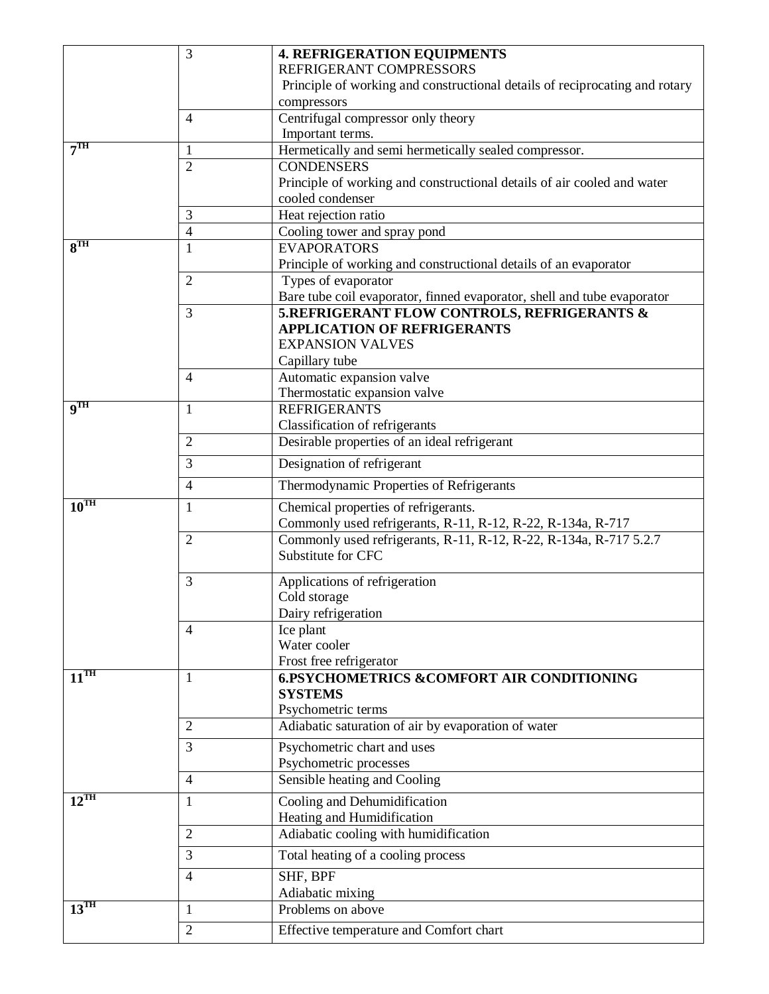|                                     | 3              | <b>4. REFRIGERATION EQUIPMENTS</b>                                          |
|-------------------------------------|----------------|-----------------------------------------------------------------------------|
|                                     |                | REFRIGERANT COMPRESSORS                                                     |
|                                     |                | Principle of working and constructional details of reciprocating and rotary |
|                                     |                | compressors                                                                 |
|                                     | $\overline{4}$ | Centrifugal compressor only theory                                          |
|                                     |                | Important terms.                                                            |
| 7 <sup>TH</sup>                     | $\mathbf{1}$   | Hermetically and semi hermetically sealed compressor.                       |
|                                     | $\overline{2}$ | <b>CONDENSERS</b>                                                           |
|                                     |                | Principle of working and constructional details of air cooled and water     |
|                                     |                | cooled condenser                                                            |
|                                     | 3              | Heat rejection ratio                                                        |
|                                     | $\overline{4}$ | Cooling tower and spray pond                                                |
| 8 <sup>TH</sup>                     | 1              | <b>EVAPORATORS</b>                                                          |
|                                     |                | Principle of working and constructional details of an evaporator            |
|                                     | $\overline{2}$ | Types of evaporator                                                         |
|                                     |                | Bare tube coil evaporator, finned evaporator, shell and tube evaporator     |
|                                     | 3              | 5.REFRIGERANT FLOW CONTROLS, REFRIGERANTS &                                 |
|                                     |                | <b>APPLICATION OF REFRIGERANTS</b>                                          |
|                                     |                | <b>EXPANSION VALVES</b>                                                     |
|                                     |                | Capillary tube                                                              |
|                                     | $\overline{4}$ | Automatic expansion valve                                                   |
| $\overline{\mathbf{q}^{\text{TH}}}$ |                | Thermostatic expansion valve                                                |
|                                     | 1              | <b>REFRIGERANTS</b>                                                         |
|                                     |                | Classification of refrigerants                                              |
|                                     | $\overline{2}$ | Desirable properties of an ideal refrigerant                                |
|                                     | 3              | Designation of refrigerant                                                  |
|                                     | $\overline{4}$ | Thermodynamic Properties of Refrigerants                                    |
| $10^{\overline{TH}}$                | 1              | Chemical properties of refrigerants.                                        |
|                                     |                | Commonly used refrigerants, R-11, R-12, R-22, R-134a, R-717                 |
|                                     | $\overline{2}$ | Commonly used refrigerants, R-11, R-12, R-22, R-134a, R-717 5.2.7           |
|                                     |                | Substitute for CFC                                                          |
|                                     | 3              | Applications of refrigeration                                               |
|                                     |                | Cold storage                                                                |
|                                     |                | Dairy refrigeration                                                         |
|                                     | $\overline{4}$ | Ice plant                                                                   |
|                                     |                | Water cooler                                                                |
|                                     |                | Frost free refrigerator                                                     |
| $11^{\overline{\text{TH}}}$         | 1              | <b>6.PSYCHOMETRICS &amp;COMFORT AIR CONDITIONING</b>                        |
|                                     |                | <b>SYSTEMS</b>                                                              |
|                                     |                | Psychometric terms                                                          |
|                                     | $\overline{2}$ | Adiabatic saturation of air by evaporation of water                         |
|                                     | 3              | Psychometric chart and uses                                                 |
|                                     |                | Psychometric processes                                                      |
|                                     | $\overline{4}$ | Sensible heating and Cooling                                                |
| $12^{\text{TH}}$                    | 1              | Cooling and Dehumidification                                                |
|                                     |                | Heating and Humidification                                                  |
|                                     | $\overline{2}$ | Adiabatic cooling with humidification                                       |
|                                     |                |                                                                             |
|                                     | 3              | Total heating of a cooling process                                          |
|                                     | $\overline{4}$ | SHF, BPF                                                                    |
|                                     |                | Adiabatic mixing                                                            |
| $13^{\text{TH}}$                    | 1              | Problems on above                                                           |
|                                     | $\overline{2}$ | Effective temperature and Comfort chart                                     |